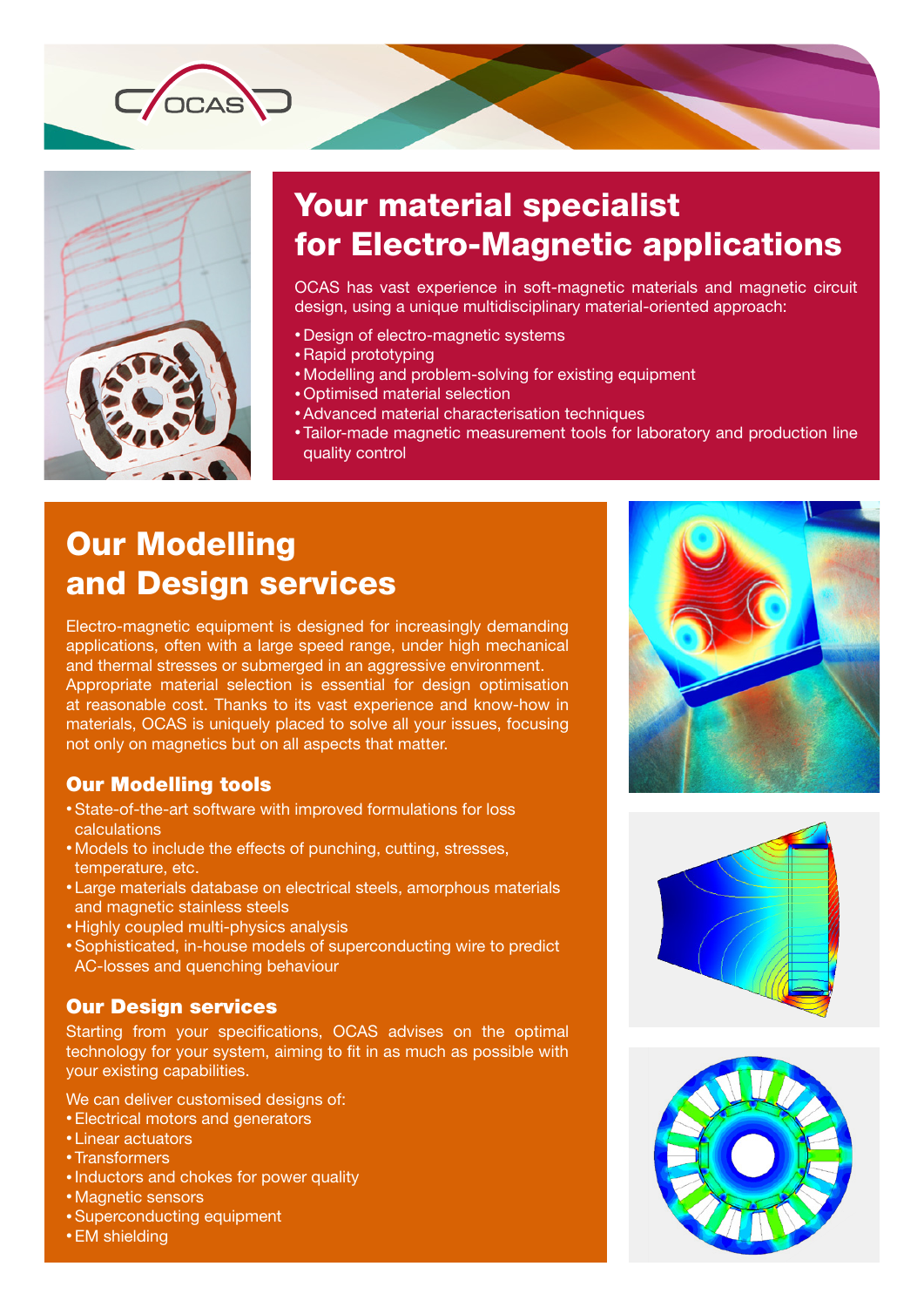

 $C$  OCAS

# Your material specialist for Electro-Magnetic applications

OCAS has vast experience in soft-magnetic materials and magnetic circuit design, using a unique multidisciplinary material-oriented approach:

- Design of electro-magnetic systems
- Rapid prototyping
- • Modelling and problem-solving for existing equipment
- • Optimised material selection
- Advanced material characterisation techniques
- Tailor-made magnetic measurement tools for laboratory and production line quality control

## Our Modelling and Design services

Electro-magnetic equipment is designed for increasingly demanding applications, often with a large speed range, under high mechanical and thermal stresses or submerged in an aggressive environment. Appropriate material selection is essential for design optimisation at reasonable cost. Thanks to its vast experience and know-how in materials, OCAS is uniquely placed to solve all your issues, focusing not only on magnetics but on all aspects that matter.

### Our Modelling tools

- State-of-the-art software with improved formulations for loss calculations
- Models to include the effects of punching, cutting, stresses, temperature, etc.
- Large materials database on electrical steels, amorphous materials and magnetic stainless steels
- Highly coupled multi-physics analysis
- Sophisticated, in-house models of superconducting wire to predict AC-losses and quenching behaviour

### Our Design services

Starting from your specifications, OCAS advises on the optimal technology for your system, aiming to fit in as much as possible with your existing capabilities.

We can deliver customised designs of:

- Electrical motors and generators
- • Linear actuators
- • Transformers
- • Inductors and chokes for power quality
- Magnetic sensors
- • Superconducting equipment
- EM shielding